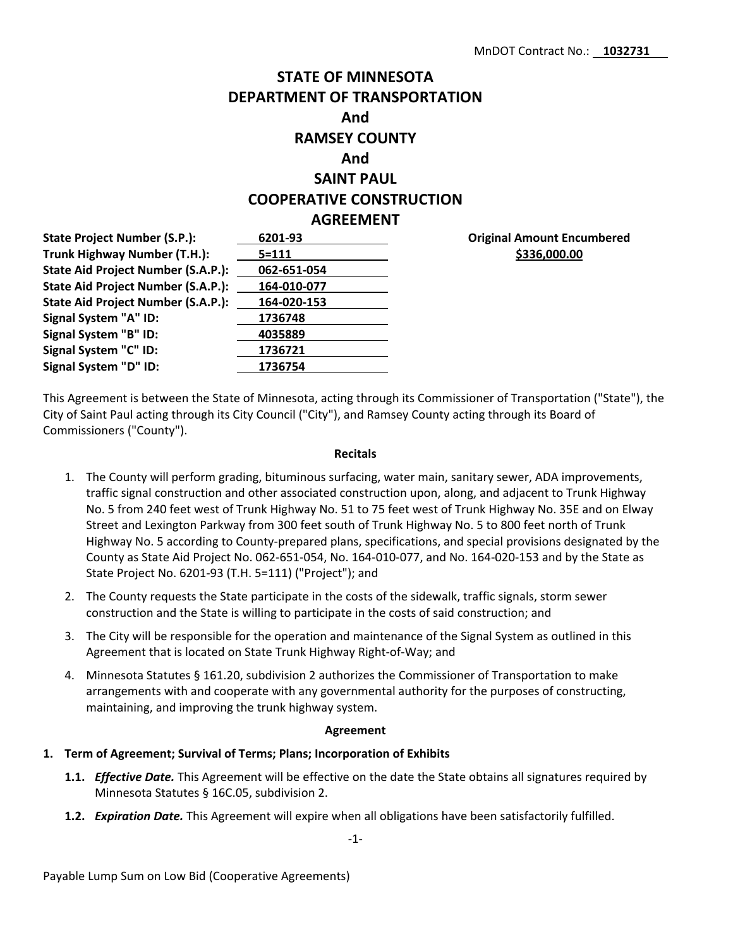# **STATE OF MINNESOTA DEPARTMENT OF TRANSPORTATION And RAMSEY COUNTY And SAINT PAUL COOPERATIVE CONSTRUCTION AGREEMENT**

**State Project Number (S.P.): 6201-93 Trunk Highway Number (T.H.): 5=111 State Aid Project Number (S.A.P.): 062-651-054 State Aid Project Number (S.A.P.): 164-010-077 State Aid Project Number (S.A.P.): 164-020-153 Signal System "A" ID: 1736748 Signal System "B" ID: 4035889 Signal System "C" ID: 1736721 Signal System "D" ID: 1736754**

**Original Amount Encumbered \$336,000.00**

This Agreement is between the State of Minnesota, acting through its Commissioner of Transportation ("State"), the City of Saint Paul acting through its City Council ("City"), and Ramsey County acting through its Board of Commissioners ("County").

#### **Recitals**

- 1. The County will perform grading, bituminous surfacing, water main, sanitary sewer, ADA improvements, traffic signal construction and other associated construction upon, along, and adjacent to Trunk Highway No. 5 from 240 feet west of Trunk Highway No. 51 to 75 feet west of Trunk Highway No. 35E and on Elway Street and Lexington Parkway from 300 feet south of Trunk Highway No. 5 to 800 feet north of Trunk Highway No. 5 according to County-prepared plans, specifications, and special provisions designated by the County as State Aid Project No. 062-651-054, No. 164-010-077, and No. 164-020-153 and by the State as State Project No. 6201-93 (T.H. 5=111) ("Project"); and
- 2. The County requests the State participate in the costs of the sidewalk, traffic signals, storm sewer construction and the State is willing to participate in the costs of said construction; and
- 3. The City will be responsible for the operation and maintenance of the Signal System as outlined in this Agreement that is located on State Trunk Highway Right-of-Way; and
- 4. Minnesota Statutes § 161.20, subdivision 2 authorizes the Commissioner of Transportation to make arrangements with and cooperate with any governmental authority for the purposes of constructing, maintaining, and improving the trunk highway system.

#### **Agreement**

# **1. Term of Agreement; Survival of Terms; Plans; Incorporation of Exhibits**

- **1.1.** *Effective Date.* This Agreement will be effective on the date the State obtains all signatures required by Minnesota Statutes § 16C.05, subdivision 2.
- **1.2.** *Expiration Date.* This Agreement will expire when all obligations have been satisfactorily fulfilled.

-1-

Payable Lump Sum on Low Bid (Cooperative Agreements)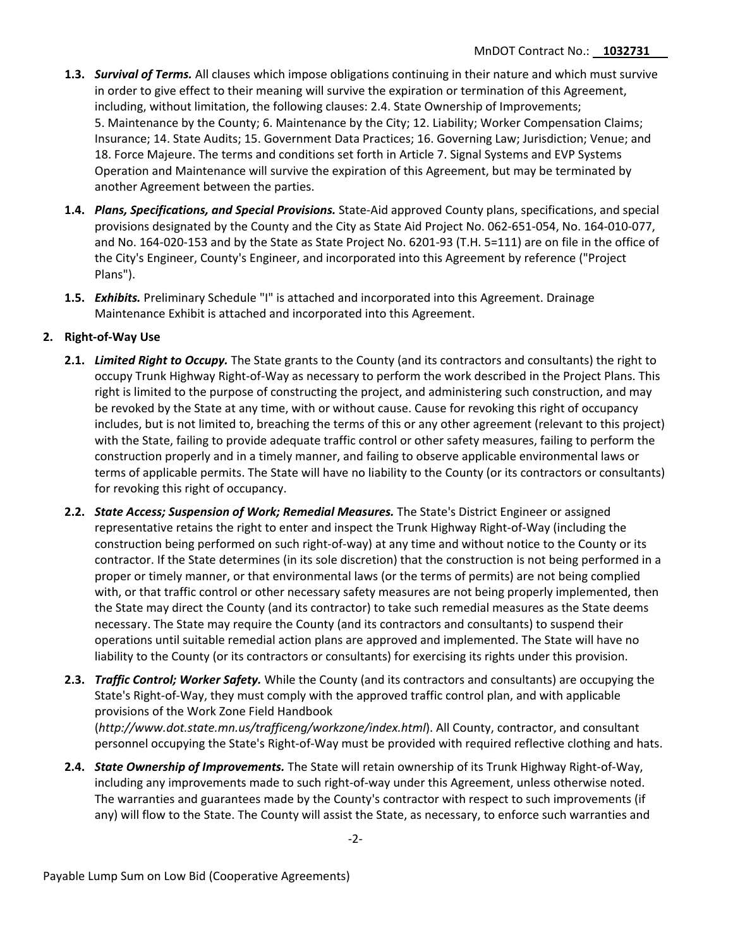- **1.3.** *Survival of Terms.* All clauses which impose obligations continuing in their nature and which must survive in order to give effect to their meaning will survive the expiration or termination of this Agreement, including, without limitation, the following clauses: 2.4. State Ownership of Improvements; 5. Maintenance by the County; 6. Maintenance by the City; 12. Liability; Worker Compensation Claims; Insurance; 14. State Audits; 15. Government Data Practices; 16. Governing Law; Jurisdiction; Venue; and 18. Force Majeure. The terms and conditions set forth in Article 7. Signal Systems and EVP Systems Operation and Maintenance will survive the expiration of this Agreement, but may be terminated by another Agreement between the parties.
- **1.4.** *Plans, Specifications, and Special Provisions.* State-Aid approved County plans, specifications, and special provisions designated by the County and the City as State Aid Project No. 062-651-054, No. 164-010-077, and No. 164-020-153 and by the State as State Project No. 6201-93 (T.H. 5=111) are on file in the office of the City's Engineer, County's Engineer, and incorporated into this Agreement by reference ("Project Plans").
- **1.5.** *Exhibits.* Preliminary Schedule "I" is attached and incorporated into this Agreement. Drainage Maintenance Exhibit is attached and incorporated into this Agreement.

# **2. Right-of-Way Use**

- **2.1.** *Limited Right to Occupy.* The State grants to the County (and its contractors and consultants) the right to occupy Trunk Highway Right-of-Way as necessary to perform the work described in the Project Plans. This right is limited to the purpose of constructing the project, and administering such construction, and may be revoked by the State at any time, with or without cause. Cause for revoking this right of occupancy includes, but is not limited to, breaching the terms of this or any other agreement (relevant to this project) with the State, failing to provide adequate traffic control or other safety measures, failing to perform the construction properly and in a timely manner, and failing to observe applicable environmental laws or terms of applicable permits. The State will have no liability to the County (or its contractors or consultants) for revoking this right of occupancy.
- **2.2.** *State Access; Suspension of Work; Remedial Measures.* The State's District Engineer or assigned representative retains the right to enter and inspect the Trunk Highway Right-of-Way (including the construction being performed on such right-of-way) at any time and without notice to the County or its contractor. If the State determines (in its sole discretion) that the construction is not being performed in a proper or timely manner, or that environmental laws (or the terms of permits) are not being complied with, or that traffic control or other necessary safety measures are not being properly implemented, then the State may direct the County (and its contractor) to take such remedial measures as the State deems necessary. The State may require the County (and its contractors and consultants) to suspend their operations until suitable remedial action plans are approved and implemented. The State will have no liability to the County (or its contractors or consultants) for exercising its rights under this provision.
- **2.3.** *Traffic Control; Worker Safety.* While the County (and its contractors and consultants) are occupying the State's Right-of-Way, they must comply with the approved traffic control plan, and with applicable provisions of the Work Zone Field Handbook (*<http://www.dot.state.mn.us/trafficeng/workzone/index.html>*). All County, contractor, and consultant personnel occupying the State's Right-of-Way must be provided with required reflective clothing and hats.
- **2.4.** *State Ownership of Improvements.* The State will retain ownership of its Trunk Highway Right-of-Way, including any improvements made to such right-of-way under this Agreement, unless otherwise noted. The warranties and guarantees made by the County's contractor with respect to such improvements (if any) will flow to the State. The County will assist the State, as necessary, to enforce such warranties and

Payable Lump Sum on Low Bid (Cooperative Agreements)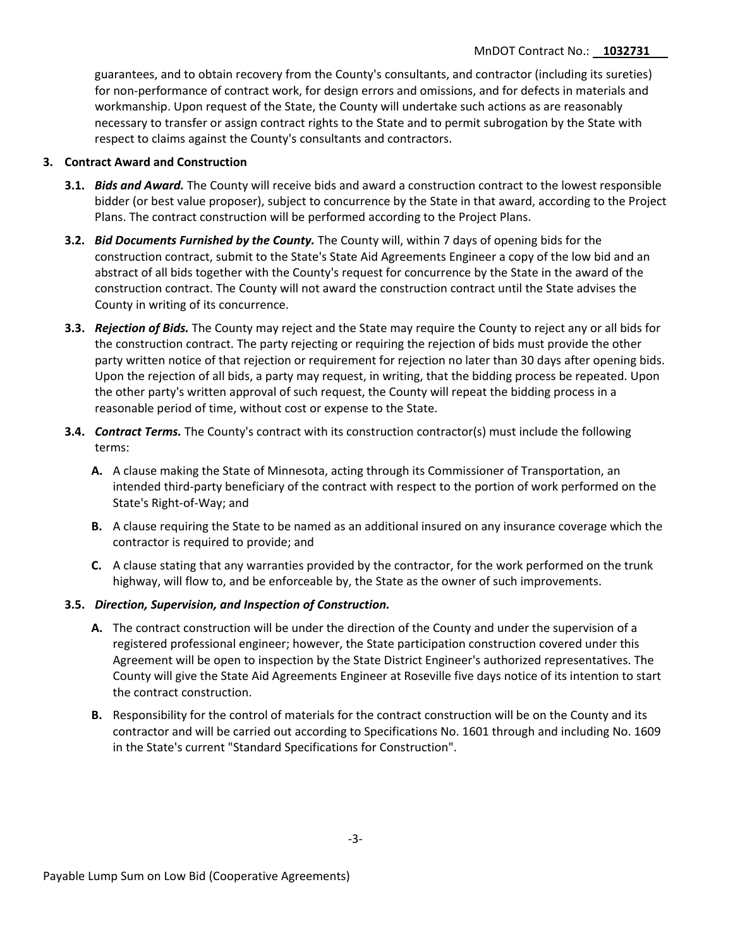guarantees, and to obtain recovery from the County's consultants, and contractor (including its sureties) for non-performance of contract work, for design errors and omissions, and for defects in materials and workmanship. Upon request of the State, the County will undertake such actions as are reasonably necessary to transfer or assign contract rights to the State and to permit subrogation by the State with respect to claims against the County's consultants and contractors.

# **3. Contract Award and Construction**

- **3.1.** *Bids and Award.* The County will receive bids and award a construction contract to the lowest responsible bidder (or best value proposer), subject to concurrence by the State in that award, according to the Project Plans. The contract construction will be performed according to the Project Plans.
- **3.2.** *Bid Documents Furnished by the County.* The County will, within 7 days of opening bids for the construction contract, submit to the State's State Aid Agreements Engineer a copy of the low bid and an abstract of all bids together with the County's request for concurrence by the State in the award of the construction contract. The County will not award the construction contract until the State advises the County in writing of its concurrence.
- **3.3.** *Rejection of Bids.* The County may reject and the State may require the County to reject any or all bids for the construction contract. The party rejecting or requiring the rejection of bids must provide the other party written notice of that rejection or requirement for rejection no later than 30 days after opening bids. Upon the rejection of all bids, a party may request, in writing, that the bidding process be repeated. Upon the other party's written approval of such request, the County will repeat the bidding process in a reasonable period of time, without cost or expense to the State.
- **3.4.** *Contract Terms.* The County's contract with its construction contractor(s) must include the following terms:
	- **A.** A clause making the State of Minnesota, acting through its Commissioner of Transportation, an intended third-party beneficiary of the contract with respect to the portion of work performed on the State's Right-of-Way; and
	- **B.** A clause requiring the State to be named as an additional insured on any insurance coverage which the contractor is required to provide; and
	- **C.** A clause stating that any warranties provided by the contractor, for the work performed on the trunk highway, will flow to, and be enforceable by, the State as the owner of such improvements.

## **3.5.** *Direction, Supervision, and Inspection of Construction.*

- **A.** The contract construction will be under the direction of the County and under the supervision of a registered professional engineer; however, the State participation construction covered under this Agreement will be open to inspection by the State District Engineer's authorized representatives. The County will give the State Aid Agreements Engineer at Roseville five days notice of its intention to start the contract construction.
- **B.** Responsibility for the control of materials for the contract construction will be on the County and its contractor and will be carried out according to Specifications No. 1601 through and including No. 1609 in the State's current "Standard Specifications for Construction".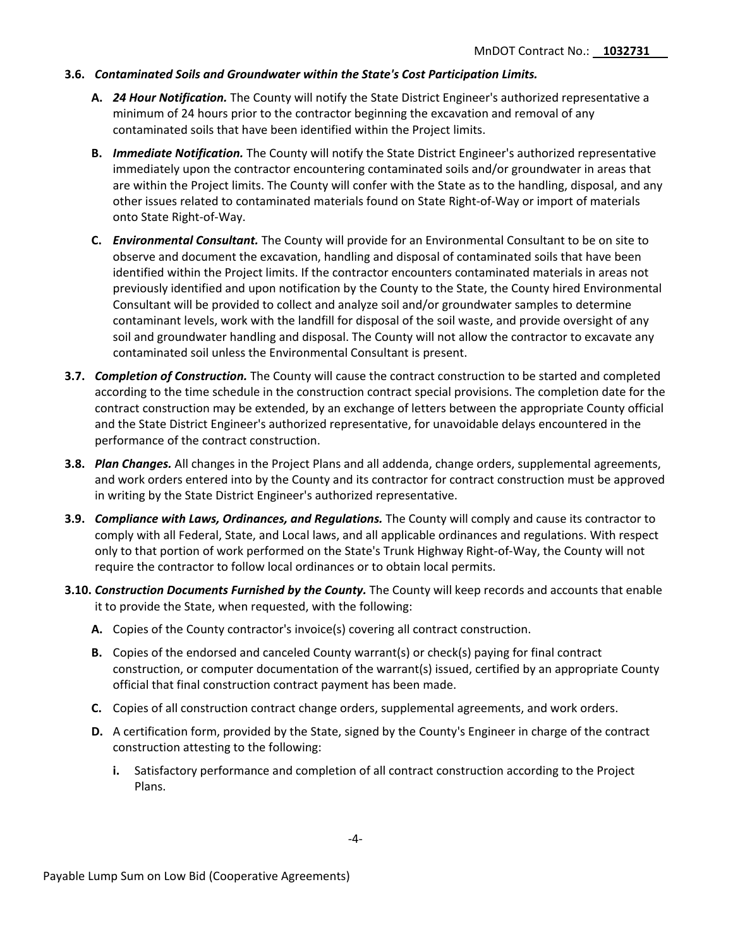## **3.6.** *Contaminated Soils and Groundwater within the State's Cost Participation Limits.*

- **A.** *24 Hour Notification.* The County will notify the State District Engineer's authorized representative a minimum of 24 hours prior to the contractor beginning the excavation and removal of any contaminated soils that have been identified within the Project limits.
- **B.** *Immediate Notification.* The County will notify the State District Engineer's authorized representative immediately upon the contractor encountering contaminated soils and/or groundwater in areas that are within the Project limits. The County will confer with the State as to the handling, disposal, and any other issues related to contaminated materials found on State Right-of-Way or import of materials onto State Right-of-Way.
- **C.** *Environmental Consultant.* The County will provide for an Environmental Consultant to be on site to observe and document the excavation, handling and disposal of contaminated soils that have been identified within the Project limits. If the contractor encounters contaminated materials in areas not previously identified and upon notification by the County to the State, the County hired Environmental Consultant will be provided to collect and analyze soil and/or groundwater samples to determine contaminant levels, work with the landfill for disposal of the soil waste, and provide oversight of any soil and groundwater handling and disposal. The County will not allow the contractor to excavate any contaminated soil unless the Environmental Consultant is present.
- **3.7.** *Completion of Construction.* The County will cause the contract construction to be started and completed according to the time schedule in the construction contract special provisions. The completion date for the contract construction may be extended, by an exchange of letters between the appropriate County official and the State District Engineer's authorized representative, for unavoidable delays encountered in the performance of the contract construction.
- **3.8.** *Plan Changes.* All changes in the Project Plans and all addenda, change orders, supplemental agreements, and work orders entered into by the County and its contractor for contract construction must be approved in writing by the State District Engineer's authorized representative.
- **3.9.** *Compliance with Laws, Ordinances, and Regulations.* The County will comply and cause its contractor to comply with all Federal, State, and Local laws, and all applicable ordinances and regulations. With respect only to that portion of work performed on the State's Trunk Highway Right-of-Way, the County will not require the contractor to follow local ordinances or to obtain local permits.
- **3.10.** *Construction Documents Furnished by the County.* The County will keep records and accounts that enable it to provide the State, when requested, with the following:
	- **A.** Copies of the County contractor's invoice(s) covering all contract construction.
	- **B.** Copies of the endorsed and canceled County warrant(s) or check(s) paying for final contract construction, or computer documentation of the warrant(s) issued, certified by an appropriate County official that final construction contract payment has been made.
	- **C.** Copies of all construction contract change orders, supplemental agreements, and work orders.
	- **D.** A certification form, provided by the State, signed by the County's Engineer in charge of the contract construction attesting to the following:
		- **i.** Satisfactory performance and completion of all contract construction according to the Project Plans.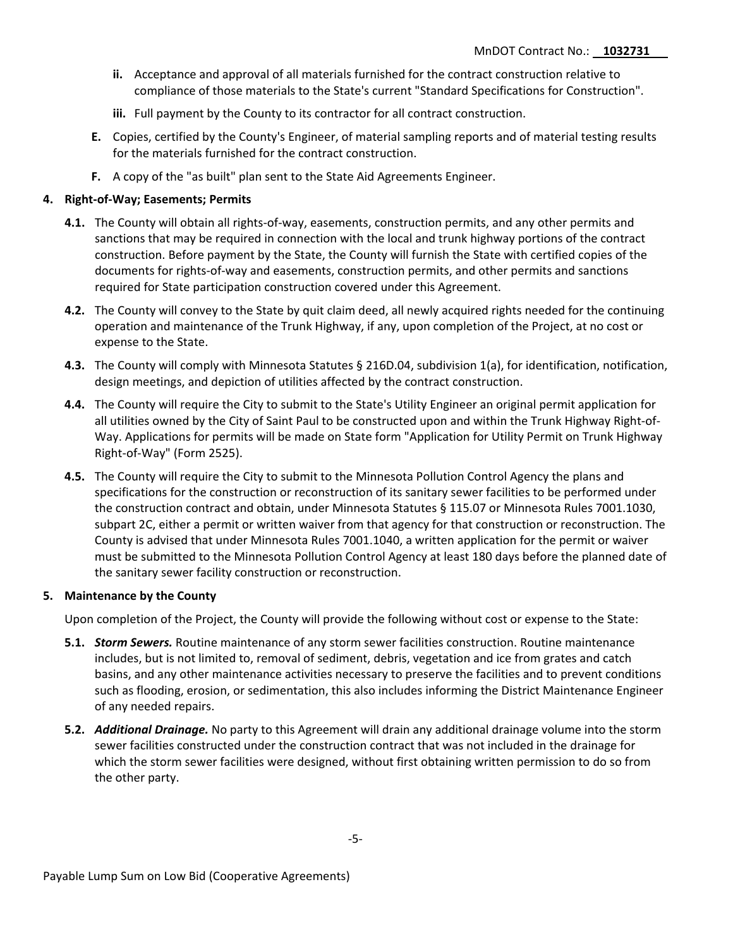- **ii.** Acceptance and approval of all materials furnished for the contract construction relative to compliance of those materials to the State's current "Standard Specifications for Construction".
- **iii.** Full payment by the County to its contractor for all contract construction.
- **E.** Copies, certified by the County's Engineer, of material sampling reports and of material testing results for the materials furnished for the contract construction.
- **F.** A copy of the "as built" plan sent to the State Aid Agreements Engineer.

## **4. Right-of-Way; Easements; Permits**

- **4.1.** The County will obtain all rights-of-way, easements, construction permits, and any other permits and sanctions that may be required in connection with the local and trunk highway portions of the contract construction. Before payment by the State, the County will furnish the State with certified copies of the documents for rights-of-way and easements, construction permits, and other permits and sanctions required for State participation construction covered under this Agreement.
- **4.2.** The County will convey to the State by quit claim deed, all newly acquired rights needed for the continuing operation and maintenance of the Trunk Highway, if any, upon completion of the Project, at no cost or expense to the State.
- **4.3.** The County will comply with Minnesota Statutes § 216D.04, subdivision 1(a), for identification, notification, design meetings, and depiction of utilities affected by the contract construction.
- **4.4.** The County will require the City to submit to the State's Utility Engineer an original permit application for all utilities owned by the City of Saint Paul to be constructed upon and within the Trunk Highway Right-of-Way. Applications for permits will be made on State form "Application for Utility Permit on Trunk Highway Right-of-Way" (Form 2525).
- **4.5.** The County will require the City to submit to the Minnesota Pollution Control Agency the plans and specifications for the construction or reconstruction of its sanitary sewer facilities to be performed under the construction contract and obtain, under Minnesota Statutes § 115.07 or Minnesota Rules 7001.1030, subpart 2C, either a permit or written waiver from that agency for that construction or reconstruction. The County is advised that under Minnesota Rules 7001.1040, a written application for the permit or waiver must be submitted to the Minnesota Pollution Control Agency at least 180 days before the planned date of the sanitary sewer facility construction or reconstruction.

# **5. Maintenance by the County**

Upon completion of the Project, the County will provide the following without cost or expense to the State:

- **5.1.** *Storm Sewers.* Routine maintenance of any storm sewer facilities construction. Routine maintenance includes, but is not limited to, removal of sediment, debris, vegetation and ice from grates and catch basins, and any other maintenance activities necessary to preserve the facilities and to prevent conditions such as flooding, erosion, or sedimentation, this also includes informing the District Maintenance Engineer of any needed repairs.
- **5.2.** *Additional Drainage.* No party to this Agreement will drain any additional drainage volume into the storm sewer facilities constructed under the construction contract that was not included in the drainage for which the storm sewer facilities were designed, without first obtaining written permission to do so from the other party.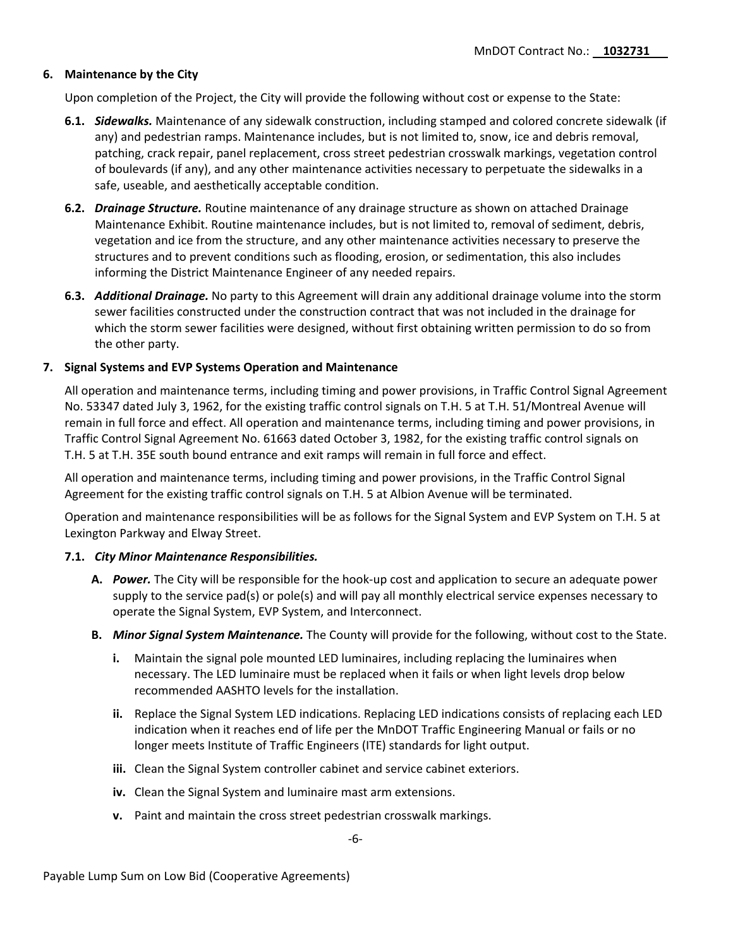## **6. Maintenance by the City**

Upon completion of the Project, the City will provide the following without cost or expense to the State:

- **6.1.** *Sidewalks.* Maintenance of any sidewalk construction, including stamped and colored concrete sidewalk (if any) and pedestrian ramps. Maintenance includes, but is not limited to, snow, ice and debris removal, patching, crack repair, panel replacement, cross street pedestrian crosswalk markings, vegetation control of boulevards (if any), and any other maintenance activities necessary to perpetuate the sidewalks in a safe, useable, and aesthetically acceptable condition.
- **6.2.** *Drainage Structure.* Routine maintenance of any drainage structure as shown on attached Drainage Maintenance Exhibit. Routine maintenance includes, but is not limited to, removal of sediment, debris, vegetation and ice from the structure, and any other maintenance activities necessary to preserve the structures and to prevent conditions such as flooding, erosion, or sedimentation, this also includes informing the District Maintenance Engineer of any needed repairs.
- **6.3.** *Additional Drainage.* No party to this Agreement will drain any additional drainage volume into the storm sewer facilities constructed under the construction contract that was not included in the drainage for which the storm sewer facilities were designed, without first obtaining written permission to do so from the other party.

## **7. Signal Systems and EVP Systems Operation and Maintenance**

All operation and maintenance terms, including timing and power provisions, in Traffic Control Signal Agreement No. 53347 dated July 3, 1962, for the existing traffic control signals on T.H. 5 at T.H. 51/Montreal Avenue will remain in full force and effect. All operation and maintenance terms, including timing and power provisions, in Traffic Control Signal Agreement No. 61663 dated October 3, 1982, for the existing traffic control signals on T.H. 5 at T.H. 35E south bound entrance and exit ramps will remain in full force and effect.

All operation and maintenance terms, including timing and power provisions, in the Traffic Control Signal Agreement for the existing traffic control signals on T.H. 5 at Albion Avenue will be terminated.

Operation and maintenance responsibilities will be as follows for the Signal System and EVP System on T.H. 5 at Lexington Parkway and Elway Street.

## **7.1.** *City Minor Maintenance Responsibilities.*

- **A.** *Power.* The City will be responsible for the hook-up cost and application to secure an adequate power supply to the service pad(s) or pole(s) and will pay all monthly electrical service expenses necessary to operate the Signal System, EVP System, and Interconnect.
- **B.** *Minor Signal System Maintenance.* The County will provide for the following, without cost to the State.
	- **i.** Maintain the signal pole mounted LED luminaires, including replacing the luminaires when necessary. The LED luminaire must be replaced when it fails or when light levels drop below recommended AASHTO levels for the installation.
	- **ii.** Replace the Signal System LED indications. Replacing LED indications consists of replacing each LED indication when it reaches end of life per the MnDOT Traffic Engineering Manual or fails or no longer meets Institute of Traffic Engineers (ITE) standards for light output.
	- **iii.** Clean the Signal System controller cabinet and service cabinet exteriors.
	- **iv.** Clean the Signal System and luminaire mast arm extensions.
	- **v.** Paint and maintain the cross street pedestrian crosswalk markings.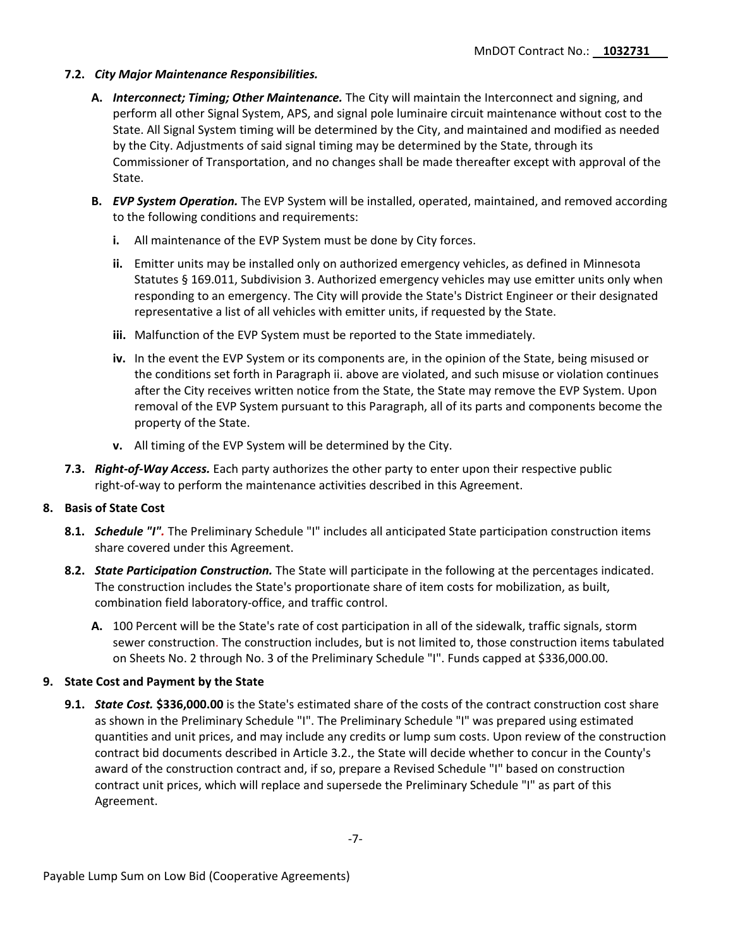# **7.2.** *City Major Maintenance Responsibilities.*

- **A.** *Interconnect; Timing; Other Maintenance.* The City will maintain the Interconnect and signing, and perform all other Signal System, APS, and signal pole luminaire circuit maintenance without cost to the State. All Signal System timing will be determined by the City, and maintained and modified as needed by the City. Adjustments of said signal timing may be determined by the State, through its Commissioner of Transportation, and no changes shall be made thereafter except with approval of the State.
- **B.** *EVP System Operation.* The EVP System will be installed, operated, maintained, and removed according to the following conditions and requirements:
	- **i.** All maintenance of the EVP System must be done by City forces.
	- **ii.** Emitter units may be installed only on authorized emergency vehicles, as defined in Minnesota Statutes § 169.011, Subdivision 3. Authorized emergency vehicles may use emitter units only when responding to an emergency. The City will provide the State's District Engineer or their designated representative a list of all vehicles with emitter units, if requested by the State.
	- **iii.** Malfunction of the EVP System must be reported to the State immediately.
	- **iv.** In the event the EVP System or its components are, in the opinion of the State, being misused or the conditions set forth in Paragraph ii. above are violated, and such misuse or violation continues after the City receives written notice from the State, the State may remove the EVP System. Upon removal of the EVP System pursuant to this Paragraph, all of its parts and components become the property of the State.
	- **v.** All timing of the EVP System will be determined by the City.
- **7.3.** *Right-of-Way Access.* Each party authorizes the other party to enter upon their respective public right-of-way to perform the maintenance activities described in this Agreement.

## **8. Basis of State Cost**

- **8.1.** *Schedule "I".* The Preliminary Schedule "I" includes all anticipated State participation construction items share covered under this Agreement.
- **8.2.** *State Participation Construction.* The State will participate in the following at the percentages indicated. The construction includes the State's proportionate share of item costs for mobilization, as built, combination field laboratory-office, and traffic control.
	- **A.** 100 Percent will be the State's rate of cost participation in all of the sidewalk, traffic signals, storm sewer construction. The construction includes, but is not limited to, those construction items tabulated on Sheets No. 2 through No. 3 of the Preliminary Schedule "I". Funds capped at \$336,000.00.

# **9. State Cost and Payment by the State**

**9.1.** *State Cost.* **\$336,000.00** is the State's estimated share of the costs of the contract construction cost share as shown in the Preliminary Schedule "I". The Preliminary Schedule "I" was prepared using estimated quantities and unit prices, and may include any credits or lump sum costs. Upon review of the construction contract bid documents described in Article 3.2., the State will decide whether to concur in the County's award of the construction contract and, if so, prepare a Revised Schedule "I" based on construction contract unit prices, which will replace and supersede the Preliminary Schedule "I" as part of this Agreement.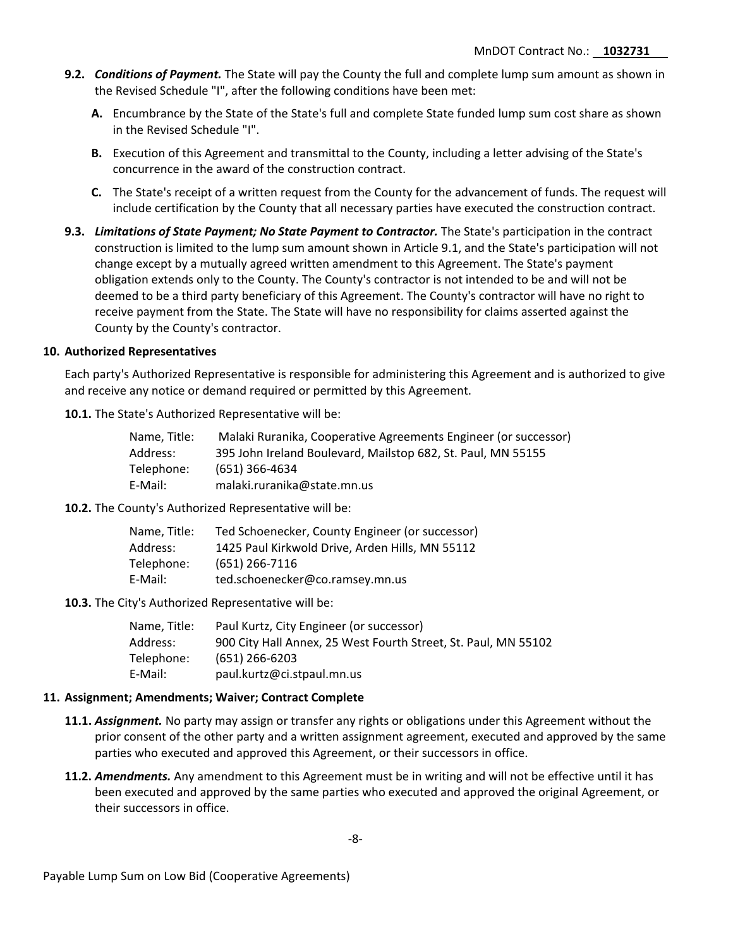- **9.2.** *Conditions of Payment.* The State will pay the County the full and complete lump sum amount as shown in the Revised Schedule "I", after the following conditions have been met:
	- **A.** Encumbrance by the State of the State's full and complete State funded lump sum cost share as shown in the Revised Schedule "I".
	- **B.** Execution of this Agreement and transmittal to the County, including a letter advising of the State's concurrence in the award of the construction contract.
	- **C.** The State's receipt of a written request from the County for the advancement of funds. The request will include certification by the County that all necessary parties have executed the construction contract.
- **9.3.** *Limitations of State Payment; No State Payment to Contractor.* The State's participation in the contract construction is limited to the lump sum amount shown in Article 9.1, and the State's participation will not change except by a mutually agreed written amendment to this Agreement. The State's payment obligation extends only to the County. The County's contractor is not intended to be and will not be deemed to be a third party beneficiary of this Agreement. The County's contractor will have no right to receive payment from the State. The State will have no responsibility for claims asserted against the County by the County's contractor.

#### **10. Authorized Representatives**

Each party's Authorized Representative is responsible for administering this Agreement and is authorized to give and receive any notice or demand required or permitted by this Agreement.

**10.1.** The State's Authorized Representative will be:

| Name. Title: | Malaki Ruranika, Cooperative Agreements Engineer (or successor) |
|--------------|-----------------------------------------------------------------|
| Address:     | 395 John Ireland Boulevard, Mailstop 682, St. Paul, MN 55155    |
| Telephone:   | (651) 366-4634                                                  |
| E-Mail:      | malaki.ruranika@state.mn.us                                     |

**10.2.** The County's Authorized Representative will be:

| Name. Title: | Ted Schoenecker, County Engineer (or successor) |
|--------------|-------------------------------------------------|
| Address:     | 1425 Paul Kirkwold Drive, Arden Hills, MN 55112 |
| Telephone:   | $(651)$ 266-7116                                |
| E-Mail:      | ted.schoenecker@co.ramsey.mn.us                 |

**10.3.** The City's Authorized Representative will be:

| Name. Title: | Paul Kurtz, City Engineer (or successor)                       |
|--------------|----------------------------------------------------------------|
| Address:     | 900 City Hall Annex, 25 West Fourth Street, St. Paul, MN 55102 |
| Telephone:   | $(651)$ 266-6203                                               |
| E-Mail:      | paul.kurtz@ci.stpaul.mn.us                                     |

#### **11. Assignment; Amendments; Waiver; Contract Complete**

- **11.1.** *Assignment.* No party may assign or transfer any rights or obligations under this Agreement without the prior consent of the other party and a written assignment agreement, executed and approved by the same parties who executed and approved this Agreement, or their successors in office.
- **11.2.** *Amendments.* Any amendment to this Agreement must be in writing and will not be effective until it has been executed and approved by the same parties who executed and approved the original Agreement, or their successors in office.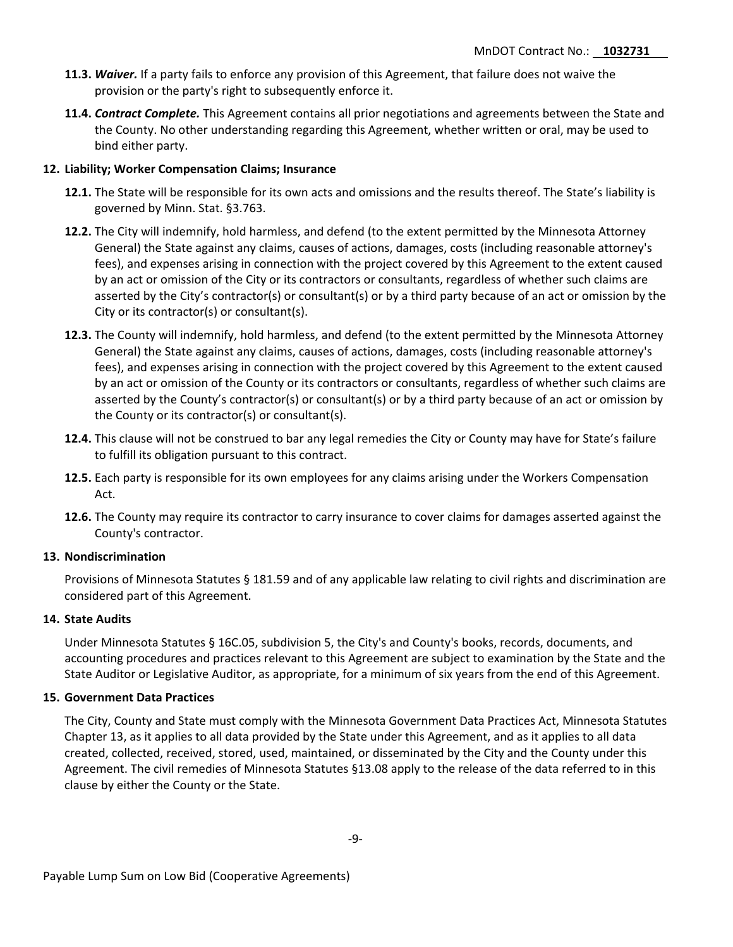- **11.3.** *Waiver.* If a party fails to enforce any provision of this Agreement, that failure does not waive the provision or the party's right to subsequently enforce it.
- **11.4.** *Contract Complete.* This Agreement contains all prior negotiations and agreements between the State and the County. No other understanding regarding this Agreement, whether written or oral, may be used to bind either party.

#### **12. Liability; Worker Compensation Claims; Insurance**

- **12.1.** The State will be responsible for its own acts and omissions and the results thereof. The State's liability is governed by Minn. Stat. §3.763.
- **12.2.** The City will indemnify, hold harmless, and defend (to the extent permitted by the Minnesota Attorney General) the State against any claims, causes of actions, damages, costs (including reasonable attorney's fees), and expenses arising in connection with the project covered by this Agreement to the extent caused by an act or omission of the City or its contractors or consultants, regardless of whether such claims are asserted by the City's contractor(s) or consultant(s) or by a third party because of an act or omission by the City or its contractor(s) or consultant(s).
- **12.3.** The County will indemnify, hold harmless, and defend (to the extent permitted by the Minnesota Attorney General) the State against any claims, causes of actions, damages, costs (including reasonable attorney's fees), and expenses arising in connection with the project covered by this Agreement to the extent caused by an act or omission of the County or its contractors or consultants, regardless of whether such claims are asserted by the County's contractor(s) or consultant(s) or by a third party because of an act or omission by the County or its contractor(s) or consultant(s).
- **12.4.** This clause will not be construed to bar any legal remedies the City or County may have for State's failure to fulfill its obligation pursuant to this contract.
- **12.5.** Each party is responsible for its own employees for any claims arising under the Workers Compensation Act.
- **12.6.** The County may require its contractor to carry insurance to cover claims for damages asserted against the County's contractor.

#### **13. Nondiscrimination**

Provisions of Minnesota Statutes § 181.59 and of any applicable law relating to civil rights and discrimination are considered part of this Agreement.

## **14. State Audits**

Under Minnesota Statutes § 16C.05, subdivision 5, the City's and County's books, records, documents, and accounting procedures and practices relevant to this Agreement are subject to examination by the State and the State Auditor or Legislative Auditor, as appropriate, for a minimum of six years from the end of this Agreement.

#### **15. Government Data Practices**

The City, County and State must comply with the Minnesota Government Data Practices Act, Minnesota Statutes Chapter 13, as it applies to all data provided by the State under this Agreement, and as it applies to all data created, collected, received, stored, used, maintained, or disseminated by the City and the County under this Agreement. The civil remedies of Minnesota Statutes §13.08 apply to the release of the data referred to in this clause by either the County or the State.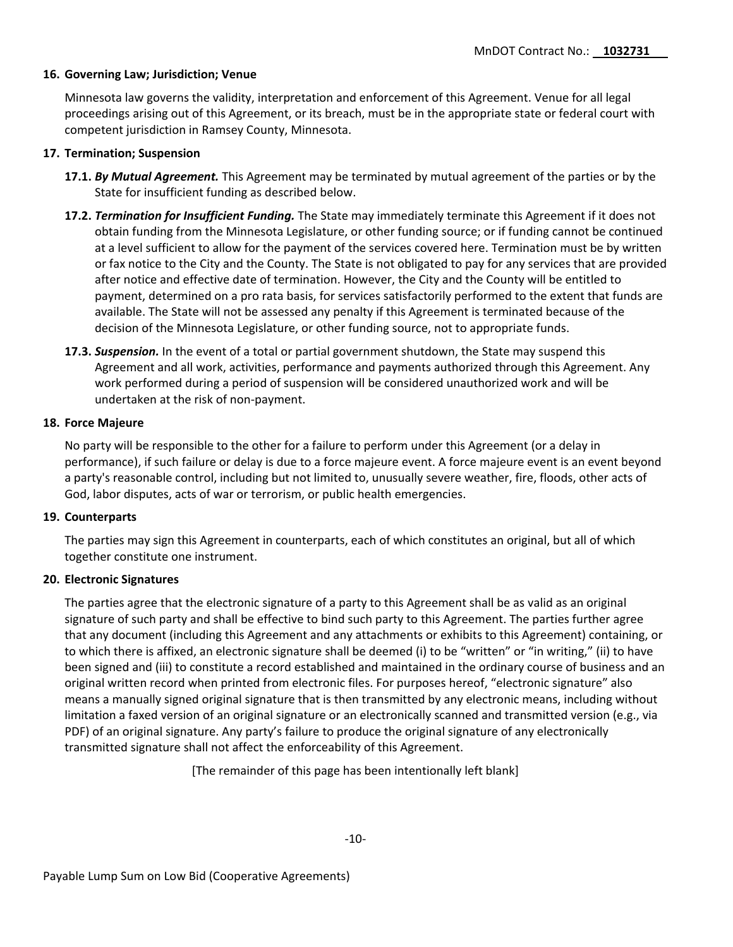## **16. Governing Law; Jurisdiction; Venue**

Minnesota law governs the validity, interpretation and enforcement of this Agreement. Venue for all legal proceedings arising out of this Agreement, or its breach, must be in the appropriate state or federal court with competent jurisdiction in Ramsey County, Minnesota.

### **17. Termination; Suspension**

- **17.1.** *By Mutual Agreement.* This Agreement may be terminated by mutual agreement of the parties or by the State for insufficient funding as described below.
- **17.2.** *Termination for Insufficient Funding.* The State may immediately terminate this Agreement if it does not obtain funding from the Minnesota Legislature, or other funding source; or if funding cannot be continued at a level sufficient to allow for the payment of the services covered here. Termination must be by written or fax notice to the City and the County. The State is not obligated to pay for any services that are provided after notice and effective date of termination. However, the City and the County will be entitled to payment, determined on a pro rata basis, for services satisfactorily performed to the extent that funds are available. The State will not be assessed any penalty if this Agreement is terminated because of the decision of the Minnesota Legislature, or other funding source, not to appropriate funds.
- **17.3.** *Suspension.* In the event of a total or partial government shutdown, the State may suspend this Agreement and all work, activities, performance and payments authorized through this Agreement. Any work performed during a period of suspension will be considered unauthorized work and will be undertaken at the risk of non-payment.

#### **18. Force Majeure**

No party will be responsible to the other for a failure to perform under this Agreement (or a delay in performance), if such failure or delay is due to a force majeure event. A force majeure event is an event beyond a party's reasonable control, including but not limited to, unusually severe weather, fire, floods, other acts of God, labor disputes, acts of war or terrorism, or public health emergencies.

## **19. Counterparts**

The parties may sign this Agreement in counterparts, each of which constitutes an original, but all of which together constitute one instrument.

## **20. Electronic Signatures**

The parties agree that the electronic signature of a party to this Agreement shall be as valid as an original signature of such party and shall be effective to bind such party to this Agreement. The parties further agree that any document (including this Agreement and any attachments or exhibits to this Agreement) containing, or to which there is affixed, an electronic signature shall be deemed (i) to be "written" or "in writing," (ii) to have been signed and (iii) to constitute a record established and maintained in the ordinary course of business and an original written record when printed from electronic files. For purposes hereof, "electronic signature" also means a manually signed original signature that is then transmitted by any electronic means, including without limitation a faxed version of an original signature or an electronically scanned and transmitted version (e.g., via PDF) of an original signature. Any party's failure to produce the original signature of any electronically transmitted signature shall not affect the enforceability of this Agreement.

[The remainder of this page has been intentionally left blank]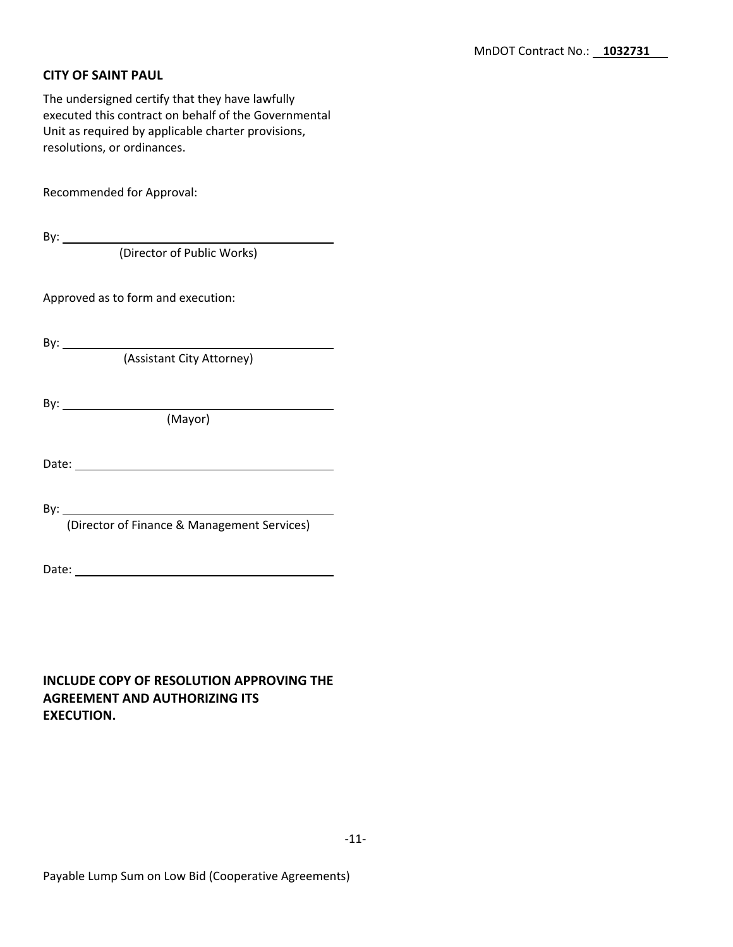# **CITY OF SAINT PAUL**

The undersigned certify that they have lawfully executed this contract on behalf of the Governmental Unit as required by applicable charter provisions, resolutions, or ordinances.

Recommended for Approval:

By:  $\overline{\phantom{a}}$ (Director of Public Works)

Approved as to form and execution:

By: \_\_\_\_\_\_\_\_\_\_\_\_\_

(Assistant City Attorney)

By:

(Mayor)

Date:

By:

(Director of Finance & Management Services)

Date:

**INCLUDE COPY OF RESOLUTION APPROVING THE AGREEMENT AND AUTHORIZING ITS EXECUTION.**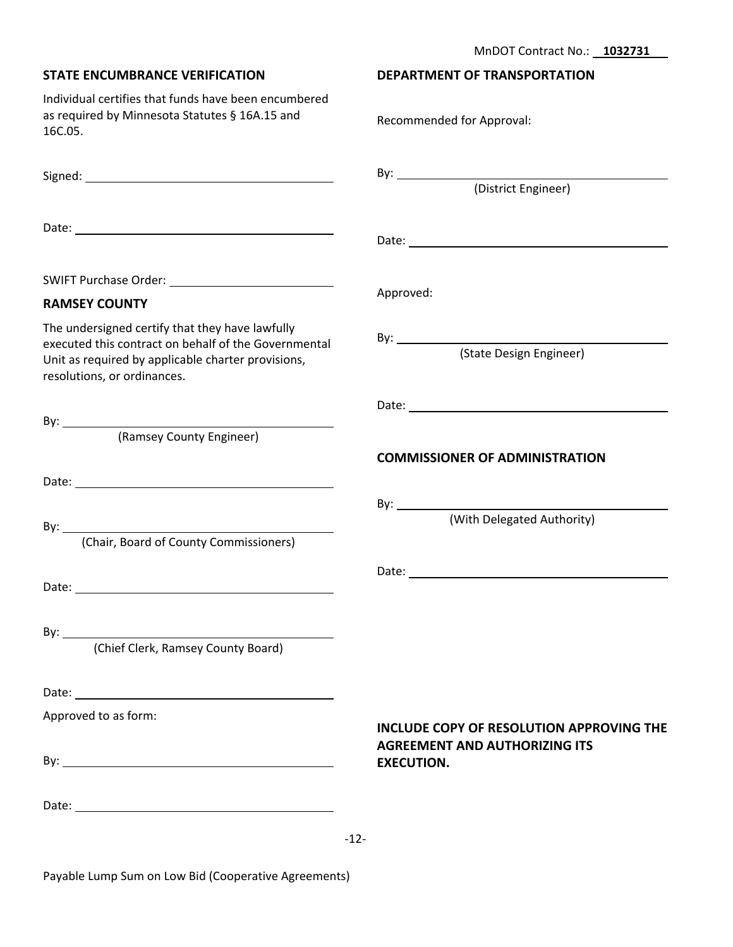**DEPARTMENT OF TRANSPORTATION**

| Individual certifies that funds have been encumbered<br>as required by Minnesota Statutes § 16A.15 and<br>16C.05.                                                                            | Recommended for Approval:                                                               |
|----------------------------------------------------------------------------------------------------------------------------------------------------------------------------------------------|-----------------------------------------------------------------------------------------|
|                                                                                                                                                                                              |                                                                                         |
|                                                                                                                                                                                              |                                                                                         |
|                                                                                                                                                                                              |                                                                                         |
| <b>RAMSEY COUNTY</b>                                                                                                                                                                         | Approved:                                                                               |
| The undersigned certify that they have lawfully<br>executed this contract on behalf of the Governmental<br>Unit as required by applicable charter provisions,<br>resolutions, or ordinances. |                                                                                         |
| (Ramsey County Engineer)                                                                                                                                                                     | <b>COMMISSIONER OF ADMINISTRATION</b>                                                   |
|                                                                                                                                                                                              |                                                                                         |
| (Chair, Board of County Commissioners)                                                                                                                                                       |                                                                                         |
|                                                                                                                                                                                              |                                                                                         |
|                                                                                                                                                                                              |                                                                                         |
| (Chief Clerk, Ramsey County Board)                                                                                                                                                           |                                                                                         |
|                                                                                                                                                                                              |                                                                                         |
| Approved to as form:                                                                                                                                                                         | <b>INCLUDE COPY OF RESOLUTION APPROVING THE</b><br><b>AGREEMENT AND AUTHORIZING ITS</b> |
|                                                                                                                                                                                              | <b>EXECUTION.</b>                                                                       |
|                                                                                                                                                                                              |                                                                                         |
|                                                                                                                                                                                              | $-12-$                                                                                  |

Payable Lump Sum on Low Bid (Cooperative Agreements)

**STATE ENCUMBRANCE VERIFICATION**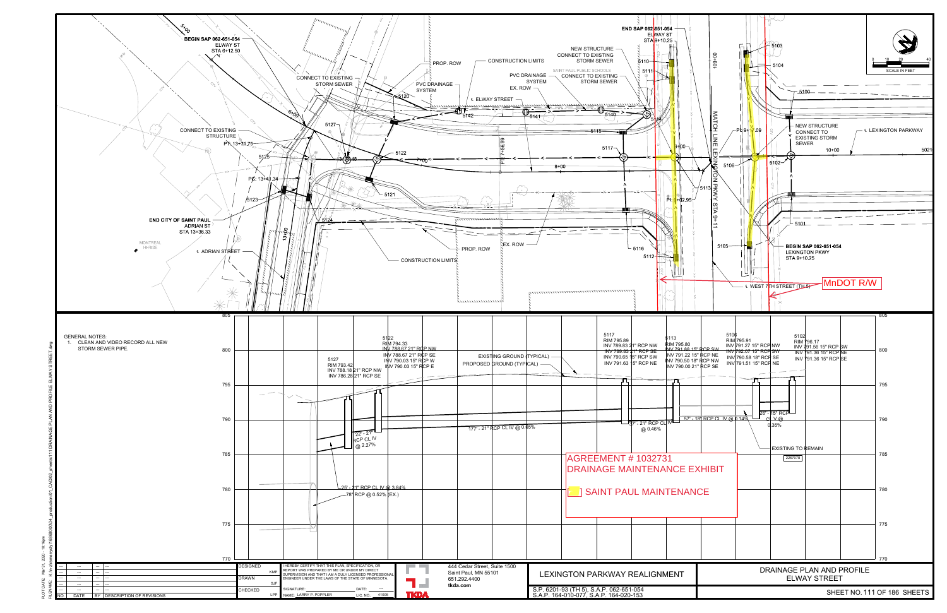

Mar 31, 2020 - 10:16pm

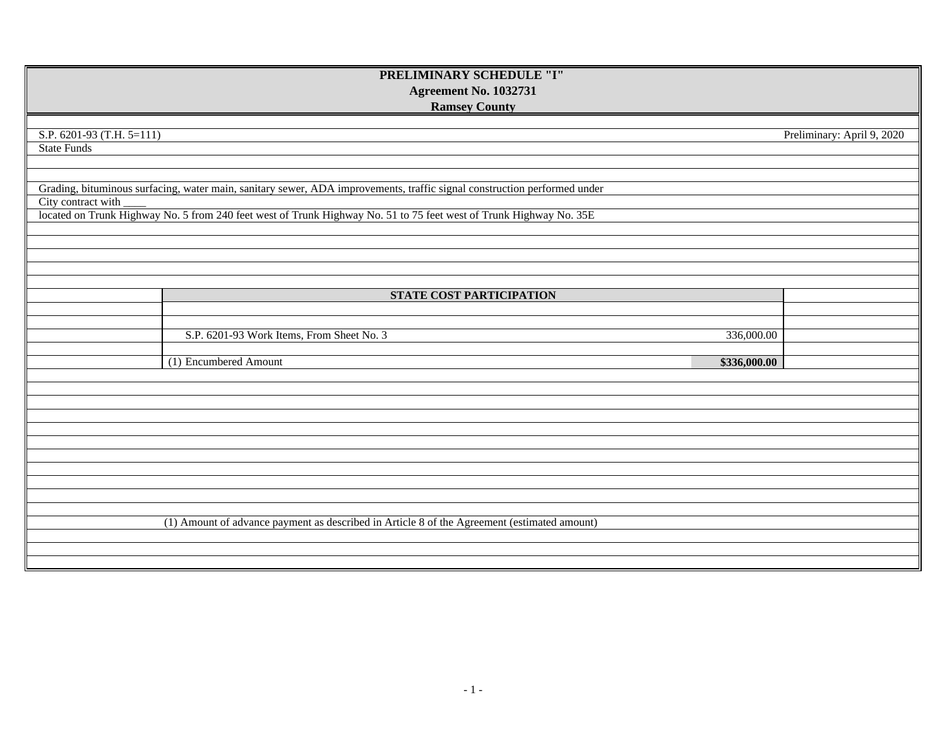| PRELIMINARY SCHEDULE "I"                                                                                                 |                            |  |  |  |
|--------------------------------------------------------------------------------------------------------------------------|----------------------------|--|--|--|
| <b>Agreement No. 1032731</b>                                                                                             |                            |  |  |  |
| <b>Ramsey County</b>                                                                                                     |                            |  |  |  |
|                                                                                                                          |                            |  |  |  |
| S.P. 6201-93 (T.H. 5=111)                                                                                                | Preliminary: April 9, 2020 |  |  |  |
| <b>State Funds</b>                                                                                                       |                            |  |  |  |
|                                                                                                                          |                            |  |  |  |
| Grading, bituminous surfacing, water main, sanitary sewer, ADA improvements, traffic signal construction performed under |                            |  |  |  |
| City contract with                                                                                                       |                            |  |  |  |
| located on Trunk Highway No. 5 from 240 feet west of Trunk Highway No. 51 to 75 feet west of Trunk Highway No. 35E       |                            |  |  |  |
|                                                                                                                          |                            |  |  |  |
|                                                                                                                          |                            |  |  |  |
|                                                                                                                          |                            |  |  |  |
|                                                                                                                          |                            |  |  |  |
|                                                                                                                          |                            |  |  |  |
| <b>STATE COST PARTICIPATION</b>                                                                                          |                            |  |  |  |
|                                                                                                                          |                            |  |  |  |
| S.P. 6201-93 Work Items, From Sheet No. 3<br>336,000.00                                                                  |                            |  |  |  |
|                                                                                                                          |                            |  |  |  |
| (1) Encumbered Amount<br>\$336,000.00                                                                                    |                            |  |  |  |
|                                                                                                                          |                            |  |  |  |
|                                                                                                                          |                            |  |  |  |
|                                                                                                                          |                            |  |  |  |
|                                                                                                                          |                            |  |  |  |
|                                                                                                                          |                            |  |  |  |
|                                                                                                                          |                            |  |  |  |
|                                                                                                                          |                            |  |  |  |
|                                                                                                                          |                            |  |  |  |
|                                                                                                                          |                            |  |  |  |
|                                                                                                                          |                            |  |  |  |
| (1) Amount of advance payment as described in Article 8 of the Agreement (estimated amount)                              |                            |  |  |  |
|                                                                                                                          |                            |  |  |  |
|                                                                                                                          |                            |  |  |  |
|                                                                                                                          |                            |  |  |  |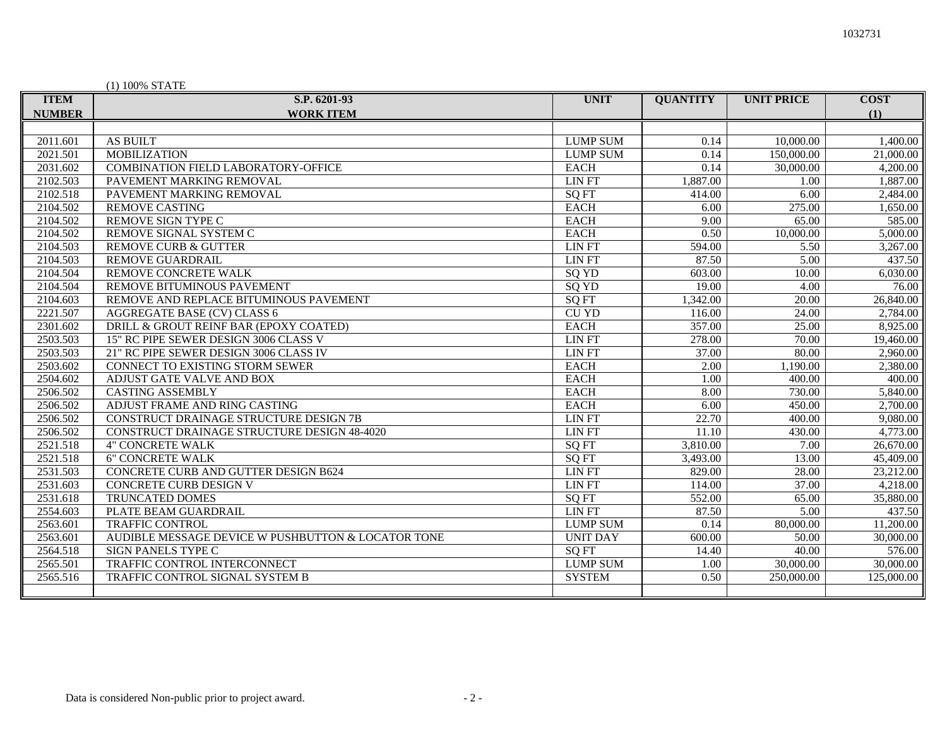| (1) 100% STATE |                                                    |                 |                 |                   |             |
|----------------|----------------------------------------------------|-----------------|-----------------|-------------------|-------------|
| <b>ITEM</b>    | S.P. 6201-93                                       | <b>UNIT</b>     | <b>QUANTITY</b> | <b>UNIT PRICE</b> | <b>COST</b> |
| <b>NUMBER</b>  | <b>WORK ITEM</b>                                   |                 |                 |                   | (1)         |
|                |                                                    |                 |                 |                   |             |
| 2011.601       | <b>AS BUILT</b>                                    | <b>LUMP SUM</b> | 0.14            | 10,000.00         | 1,400.00    |
| 2021.501       | <b>MOBILIZATION</b>                                | <b>LUMP SUM</b> | 0.14            | 150,000.00        | 21,000.00   |
| 2031.602       | COMBINATION FIELD LABORATORY-OFFICE                | <b>EACH</b>     | 0.14            | 30,000.00         | 4,200.00    |
| 2102.503       | PAVEMENT MARKING REMOVAL                           | <b>LIN FT</b>   | 1,887.00        | 1.00              | 1,887.00    |
| 2102.518       | PAVEMENT MARKING REMOVAL                           | <b>SQ FT</b>    | 414.00          | 6.00              | 2,484.00    |
| 2104.502       | <b>REMOVE CASTING</b>                              | <b>EACH</b>     | 6.00            | 275.00            | 1,650.00    |
| 2104.502       | REMOVE SIGN TYPE C                                 | <b>EACH</b>     | 9.00            | 65.00             | 585.00      |
| 2104.502       | REMOVE SIGNAL SYSTEM C                             | <b>EACH</b>     | 0.50            | 10,000.00         | 5,000.00    |
| 2104.503       | <b>REMOVE CURB &amp; GUTTER</b>                    | <b>LIN FT</b>   | 594.00          | 5.50              | 3,267.00    |
| 2104.503       | <b>REMOVE GUARDRAIL</b>                            | <b>LIN FT</b>   | 87.50           | 5.00              | 437.50      |
| 2104.504       | REMOVE CONCRETE WALK                               | SQ YD           | 603.00          | 10.00             | 6,030.00    |
| 2104.504       | REMOVE BITUMINOUS PAVEMENT                         | SQ YD           | 19.00           | 4.00              | 76.00       |
| 2104.603       | REMOVE AND REPLACE BITUMINOUS PAVEMENT             | <b>SQ FT</b>    | 1,342.00        | 20.00             | 26,840.00   |
| 2221.507       | AGGREGATE BASE (CV) CLASS 6                        | <b>CU YD</b>    | 116.00          | 24.00             | 2,784.00    |
| 2301.602       | DRILL & GROUT REINF BAR (EPOXY COATED)             | <b>EACH</b>     | 357.00          | 25.00             | 8,925.00    |
| 2503.503       | 15" RC PIPE SEWER DESIGN 3006 CLASS V              | <b>LIN FT</b>   | 278.00          | 70.00             | 19,460.00   |
| 2503.503       | 21" RC PIPE SEWER DESIGN 3006 CLASS IV             | <b>LIN FT</b>   | 37.00           | 80.00             | 2,960.00    |
| 2503.602       | CONNECT TO EXISTING STORM SEWER                    | <b>EACH</b>     | 2.00            | 1,190.00          | 2,380.00    |
| 2504.602       | ADJUST GATE VALVE AND BOX                          | <b>EACH</b>     | 1.00            | 400.00            | 400.00      |
| 2506.502       | <b>CASTING ASSEMBLY</b>                            | <b>EACH</b>     | 8.00            | 730.00            | 5,840.00    |
| 2506.502       | ADJUST FRAME AND RING CASTING                      | <b>EACH</b>     | 6.00            | 450.00            | 2,700.00    |
| 2506.502       | CONSTRUCT DRAINAGE STRUCTURE DESIGN 7B             | <b>LIN FT</b>   | 22.70           | 400.00            | 9,080.00    |
| 2506.502       | CONSTRUCT DRAINAGE STRUCTURE DESIGN 48-4020        | <b>LIN FT</b>   | 11.10           | 430.00            | 4,773.00    |
| 2521.518       | <b>4" CONCRETE WALK</b>                            | <b>SQ FT</b>    | 3,810.00        | 7.00              | 26,670.00   |
| 2521.518       | <b>6" CONCRETE WALK</b>                            | SQ FT           | 3,493.00        | 13.00             | 45,409.00   |
| 2531.503       | CONCRETE CURB AND GUTTER DESIGN B624               | <b>LIN FT</b>   | 829.00          | 28.00             | 23,212.00   |
| 2531.603       | CONCRETE CURB DESIGN V                             | <b>LIN FT</b>   | 114.00          | 37.00             | 4,218.00    |
| 2531.618       | TRUNCATED DOMES                                    | <b>SQ FT</b>    | 552.00          | 65.00             | 35,880.00   |
| 2554.603       | PLATE BEAM GUARDRAIL                               | <b>LIN FT</b>   | 87.50           | 5.00              | 437.50      |
| 2563.601       | <b>TRAFFIC CONTROL</b>                             | <b>LUMP SUM</b> | 0.14            | 80,000.00         | 11,200.00   |
| 2563.601       | AUDIBLE MESSAGE DEVICE W PUSHBUTTON & LOCATOR TONE | <b>UNIT DAY</b> | 600.00          | 50.00             | 30,000.00   |
| 2564.518       | SIGN PANELS TYPE C                                 | <b>SQ FT</b>    | 14.40           | 40.00             | 576.00      |
| 2565.501       | TRAFFIC CONTROL INTERCONNECT                       | <b>LUMP SUM</b> | 1.00            | 30,000.00         | 30,000.00   |
| 2565.516       | TRAFFIC CONTROL SIGNAL SYSTEM B                    | <b>SYSTEM</b>   | 0.50            | 250,000.00        | 125,000.00  |
|                |                                                    |                 |                 |                   |             |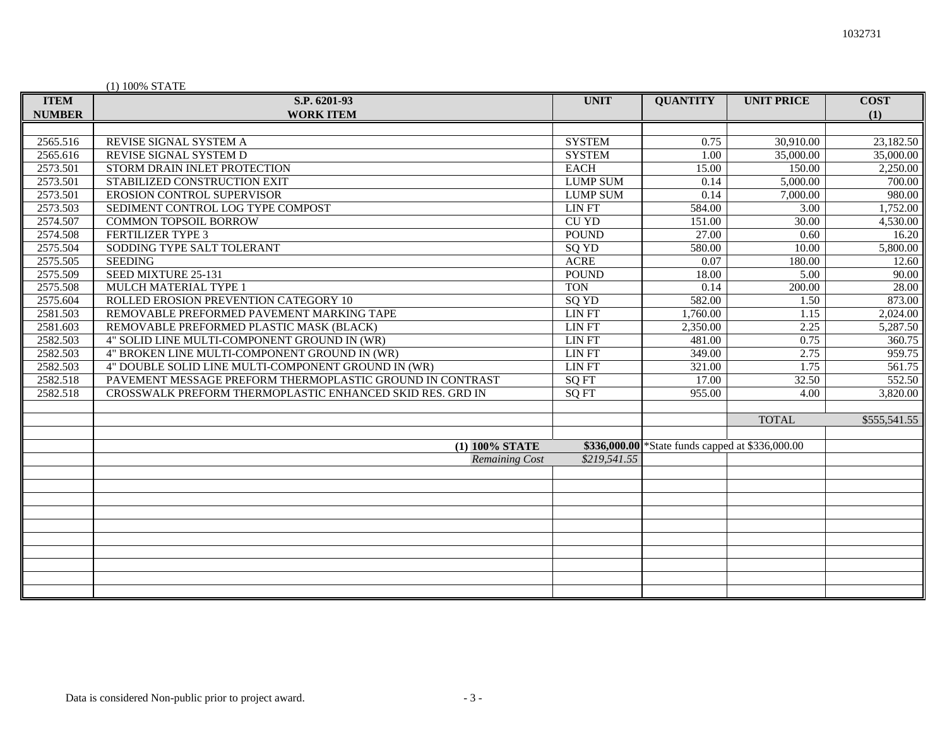# (1) 100% STATE

| <b>ITEM</b>   | S.P. 6201-93                                              | <b>UNIT</b>     | <b>QUANTITY</b>                                  | <b>UNIT PRICE</b> | <b>COST</b>           |
|---------------|-----------------------------------------------------------|-----------------|--------------------------------------------------|-------------------|-----------------------|
| <b>NUMBER</b> | <b>WORK ITEM</b>                                          |                 |                                                  |                   | (1)                   |
|               |                                                           |                 |                                                  |                   |                       |
| 2565.516      | REVISE SIGNAL SYSTEM A                                    | <b>SYSTEM</b>   | 0.75                                             | 30,910.00         | 23,182.50             |
| 2565.616      | REVISE SIGNAL SYSTEM D                                    | <b>SYSTEM</b>   | 1.00                                             | 35,000.00         | 35,000.00             |
| 2573.501      | STORM DRAIN INLET PROTECTION                              | <b>EACH</b>     | 15.00                                            | 150.00            | $\overline{2,250.00}$ |
| 2573.501      | STABILIZED CONSTRUCTION EXIT                              | <b>LUMP SUM</b> | 0.14                                             | 5,000.00          | 700.00                |
| 2573.501      | EROSION CONTROL SUPERVISOR                                | <b>LUMP SUM</b> | 0.14                                             | 7,000.00          | 980.00                |
| 2573.503      | SEDIMENT CONTROL LOG TYPE COMPOST                         | <b>LIN FT</b>   | 584.00                                           | 3.00              | 1,752.00              |
| 2574.507      | <b>COMMON TOPSOIL BORROW</b>                              | <b>CU YD</b>    | 151.00                                           | 30.00             | 4,530.00              |
| 2574.508      | <b>FERTILIZER TYPE 3</b>                                  | <b>POUND</b>    | 27.00                                            | 0.60              | 16.20                 |
| 2575.504      | SODDING TYPE SALT TOLERANT                                | SQ YD           | 580.00                                           | 10.00             | 5,800.00              |
| 2575.505      | <b>SEEDING</b>                                            | <b>ACRE</b>     | 0.07                                             | 180.00            | 12.60                 |
| 2575.509      | SEED MIXTURE 25-131                                       | <b>POUND</b>    | 18.00                                            | 5.00              | 90.00                 |
| 2575.508      | MULCH MATERIAL TYPE 1                                     | <b>TON</b>      | 0.14                                             | 200.00            | 28.00                 |
| 2575.604      | ROLLED EROSION PREVENTION CATEGORY 10                     | SQ YD           | 582.00                                           | 1.50              | 873.00                |
| 2581.503      | REMOVABLE PREFORMED PAVEMENT MARKING TAPE                 | <b>LIN FT</b>   | 1,760.00                                         | 1.15              | 2,024.00              |
| 2581.603      | REMOVABLE PREFORMED PLASTIC MASK (BLACK)                  | <b>LIN FT</b>   | 2,350.00                                         | 2.25              | 5,287.50              |
| 2582.503      | 4" SOLID LINE MULTI-COMPONENT GROUND IN (WR)              | <b>LIN FT</b>   | 481.00                                           | 0.75              | 360.75                |
| 2582.503      | 4" BROKEN LINE MULTI-COMPONENT GROUND IN (WR)             | <b>LIN FT</b>   | 349.00                                           | 2.75              | 959.75                |
| 2582.503      | 4" DOUBLE SOLID LINE MULTI-COMPONENT GROUND IN (WR)       | <b>LIN FT</b>   | 321.00                                           | 1.75              | 561.75                |
| 2582.518      | PAVEMENT MESSAGE PREFORM THERMOPLASTIC GROUND IN CONTRAST | <b>SQ FT</b>    | 17.00                                            | 32.50             | 552.50                |
| 2582.518      | CROSSWALK PREFORM THERMOPLASTIC ENHANCED SKID RES. GRD IN | <b>SOFT</b>     | 955.00                                           | 4.00              | 3,820.00              |
|               |                                                           |                 |                                                  |                   |                       |
|               |                                                           |                 |                                                  | <b>TOTAL</b>      | \$555,541.55          |
|               |                                                           |                 |                                                  |                   |                       |
|               | (1) 100% STATE                                            |                 | \$336,000.00 *State funds capped at \$336,000.00 |                   |                       |
|               | <b>Remaining Cost</b>                                     | \$219,541.55    |                                                  |                   |                       |
|               |                                                           |                 |                                                  |                   |                       |
|               |                                                           |                 |                                                  |                   |                       |
|               |                                                           |                 |                                                  |                   |                       |
|               |                                                           |                 |                                                  |                   |                       |
|               |                                                           |                 |                                                  |                   |                       |
|               |                                                           |                 |                                                  |                   |                       |
|               |                                                           |                 |                                                  |                   |                       |
|               |                                                           |                 |                                                  |                   |                       |
|               |                                                           |                 |                                                  |                   |                       |
|               |                                                           |                 |                                                  |                   |                       |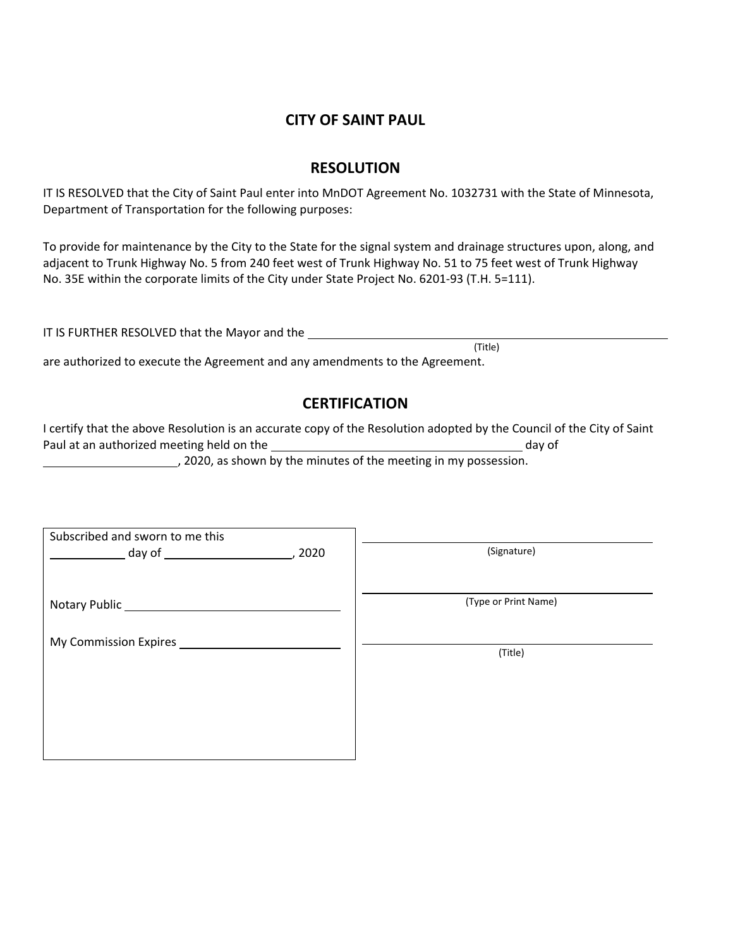# **CITY OF SAINT PAUL**

# **RESOLUTION**

IT IS RESOLVED that the City of Saint Paul enter into MnDOT Agreement No. 1032731 with the State of Minnesota, Department of Transportation for the following purposes:

To provide for maintenance by the City to the State for the signal system and drainage structures upon, along, and adjacent to Trunk Highway No. 5 from 240 feet west of Trunk Highway No. 51 to 75 feet west of Trunk Highway No. 35E within the corporate limits of the City under State Project No. 6201-93 (T.H. 5=111).

IT IS FURTHER RESOLVED that the Mayor and the (Title)

are authorized to execute the Agreement and any amendments to the Agreement.

# **CERTIFICATION**

I certify that the above Resolution is an accurate copy of the Resolution adopted by the Council of the City of Saint Paul at an authorized meeting held on the day of day of day of , 2020, as shown by the minutes of the meeting in my possession.

| Subscribed and sworn to me this<br>, 2020 | (Signature)          |
|-------------------------------------------|----------------------|
|                                           | (Type or Print Name) |
| My Commission Expires                     | (Title)              |
|                                           |                      |